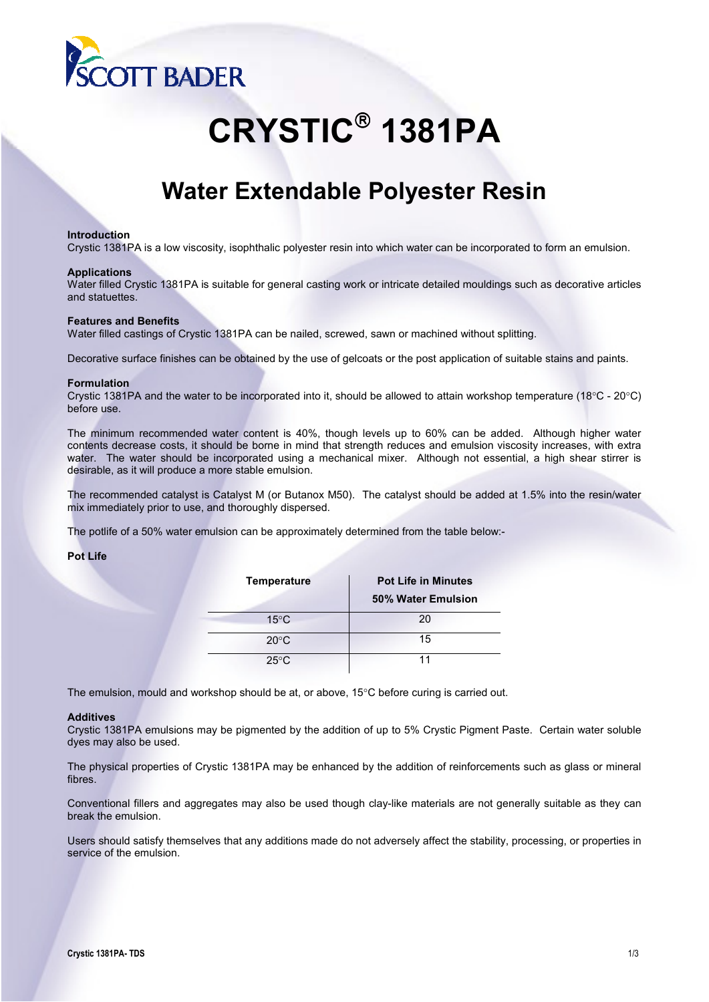

# **CRYSTIC 1381PA**

# **Water Extendable Polyester Resin**

### **Introduction**

Crystic 1381PA is a low viscosity, isophthalic polyester resin into which water can be incorporated to form an emulsion.

#### **Applications**

Water filled Crystic 1381PA is suitable for general casting work or intricate detailed mouldings such as decorative articles and statuettes.

# **Features and Benefits**

Water filled castings of Crystic 1381PA can be nailed, screwed, sawn or machined without splitting.

Decorative surface finishes can be obtained by the use of gelcoats or the post application of suitable stains and paints.

#### **Formulation**

Crystic 1381PA and the water to be incorporated into it, should be allowed to attain workshop temperature (18°C - 20°C) before use.

The minimum recommended water content is 40%, though levels up to 60% can be added. Although higher water contents decrease costs, it should be borne in mind that strength reduces and emulsion viscosity increases, with extra water. The water should be incorporated using a mechanical mixer. Although not essential, a high shear stirrer is desirable, as it will produce a more stable emulsion.

The recommended catalyst is Catalyst M (or Butanox M50). The catalyst should be added at 1.5% into the resin/water mix immediately prior to use, and thoroughly dispersed.

The potlife of a 50% water emulsion can be approximately determined from the table below:-

#### **Pot Life**

| <b>Temperature</b> | <b>Pot Life in Minutes</b> |  |  |
|--------------------|----------------------------|--|--|
|                    | 50% Water Emulsion         |  |  |
| $15^{\circ}$ C     | 20                         |  |  |
| $20^{\circ}$ C     | 15                         |  |  |
| $25^{\circ}$ C     | 11                         |  |  |

The emulsion, mould and workshop should be at, or above, 15°C before curing is carried out.

#### **Additives**

Crystic 1381PA emulsions may be pigmented by the addition of up to 5% Crystic Pigment Paste. Certain water soluble dyes may also be used.

The physical properties of Crystic 1381PA may be enhanced by the addition of reinforcements such as glass or mineral fibres.

Conventional fillers and aggregates may also be used though clay-like materials are not generally suitable as they can break the emulsion.

Users should satisfy themselves that any additions made do not adversely affect the stability, processing, or properties in service of the emulsion.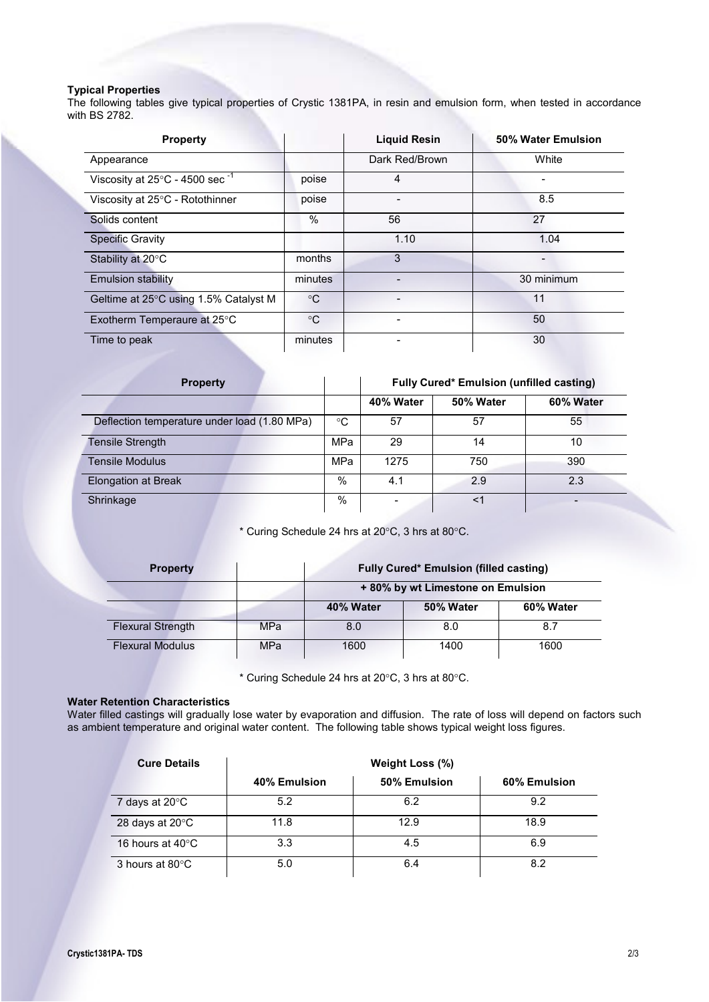# **Typical Properties**

The following tables give typical properties of Crystic 1381PA, in resin and emulsion form, when tested in accordance with BS 2782.

| <b>Property</b>                                      |             | <b>Liquid Resin</b>      | 50% Water Emulsion |
|------------------------------------------------------|-------------|--------------------------|--------------------|
| Appearance                                           |             | Dark Red/Brown           | White              |
| Viscosity at $25^{\circ}$ C - 4500 sec <sup>-1</sup> | poise       | 4                        |                    |
| Viscosity at 25°C - Rotothinner                      | poise       |                          | 8.5                |
| Solids content                                       | $\%$        | 56                       | 27                 |
| <b>Specific Gravity</b>                              |             | 1.10                     | 1.04               |
| Stability at 20°C                                    | months      | 3                        |                    |
| <b>Emulsion stability</b>                            | minutes     | $\overline{\phantom{0}}$ | 30 minimum         |
| Geltime at $25^{\circ}$ C using 1.5% Catalyst M      | $^{\circ}C$ |                          | 11                 |
| Exotherm Temperaure at 25°C                          | $^{\circ}C$ |                          | 50                 |
| Time to peak                                         | minutes     |                          | 30                 |

| <b>Property</b>                              |     | <b>Fully Cured* Emulsion (unfilled casting)</b> |           |           |
|----------------------------------------------|-----|-------------------------------------------------|-----------|-----------|
|                                              |     | 40% Water                                       | 50% Water | 60% Water |
| Deflection temperature under load (1.80 MPa) | °C  | 57                                              | 57        | 55        |
| <b>Tensile Strength</b>                      | MPa | 29                                              | 14        | 10        |
| <b>Tensile Modulus</b>                       | MPa | 1275                                            | 750       | 390       |
| <b>Elongation at Break</b>                   | %   | 4.1                                             | 2.9       | 2.3       |
| Shrinkage                                    | %   |                                                 | <1        |           |

\* Curing Schedule 24 hrs at 20°C, 3 hrs at 80°C.

| <b>Property</b>          |            | <b>Fully Cured* Emulsion (filled casting)</b> |           |           |
|--------------------------|------------|-----------------------------------------------|-----------|-----------|
|                          |            | +80% by wt Limestone on Emulsion              |           |           |
|                          |            | 40% Water                                     | 50% Water | 60% Water |
| <b>Flexural Strength</b> | <b>MPa</b> | 8.0                                           | 8.0       | 8.7       |
| <b>Flexural Modulus</b>  | MPa        | 1600                                          | 1400      | 1600      |

\* Curing Schedule 24 hrs at 20°C, 3 hrs at 80°C.

# **Water Retention Characteristics**

Water filled castings will gradually lose water by evaporation and diffusion. The rate of loss will depend on factors such as ambient temperature and original water content. The following table shows typical weight loss figures.

| <b>Cure Details</b>        | Weight Loss (%) |              |              |  |
|----------------------------|-----------------|--------------|--------------|--|
|                            | 40% Emulsion    | 50% Emulsion | 60% Emulsion |  |
| 7 days at $20^{\circ}$ C   | 5.2             | 6.2          | 9.2          |  |
| 28 days at 20°C            | 11.8            | 12.9         | 18.9         |  |
| 16 hours at $40^{\circ}$ C | 3.3             | 4.5          | 6.9          |  |
| 3 hours at 80°C            | 5.0             | 6.4          | 8.2          |  |